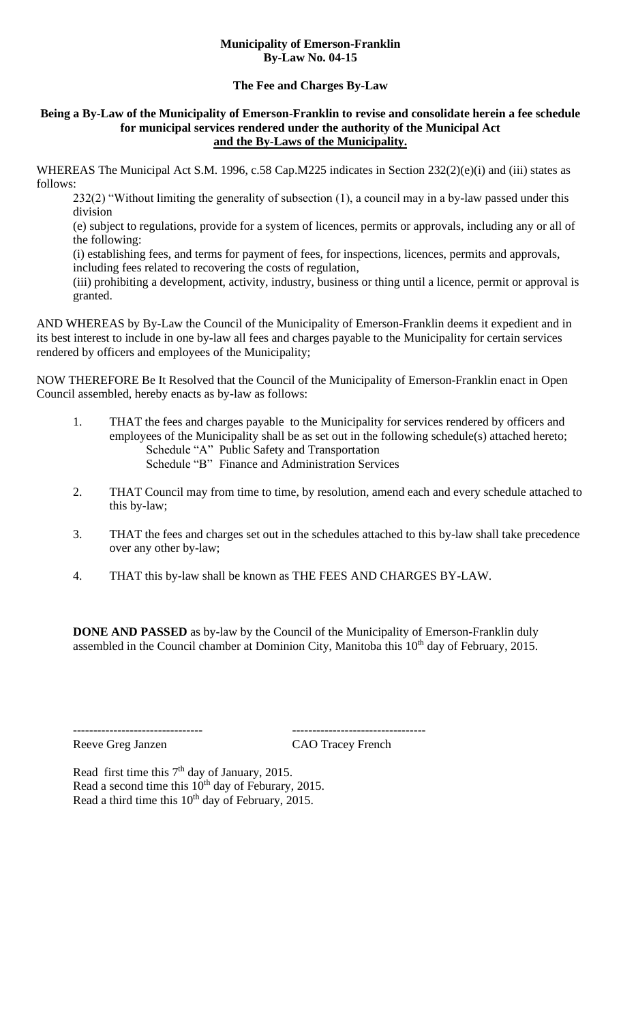## **Municipality of Emerson-Franklin By-Law No. 04-15**

## **The Fee and Charges By-Law**

### **Being a By-Law of the Municipality of Emerson-Franklin to revise and consolidate herein a fee schedule for municipal services rendered under the authority of the Municipal Act and the By-Laws of the Municipality.**

WHEREAS The Municipal Act S.M. 1996, c.58 Cap.M225 indicates in Section 232(2)(e)(i) and (iii) states as follows:

232(2) "Without limiting the generality of subsection (1), a council may in a by-law passed under this division

(e) subject to regulations, provide for a system of licences, permits or approvals, including any or all of the following:

(i) establishing fees, and terms for payment of fees, for inspections, licences, permits and approvals, including fees related to recovering the costs of regulation,

(iii) prohibiting a development, activity, industry, business or thing until a licence, permit or approval is granted.

AND WHEREAS by By-Law the Council of the Municipality of Emerson-Franklin deems it expedient and in its best interest to include in one by-law all fees and charges payable to the Municipality for certain services rendered by officers and employees of the Municipality;

NOW THEREFORE Be It Resolved that the Council of the Municipality of Emerson-Franklin enact in Open Council assembled, hereby enacts as by-law as follows:

- 1. THAT the fees and charges payable to the Municipality for services rendered by officers and employees of the Municipality shall be as set out in the following schedule(s) attached hereto; Schedule "A" Public Safety and Transportation Schedule "B" Finance and Administration Services
- 2. THAT Council may from time to time, by resolution, amend each and every schedule attached to this by-law;
- 3. THAT the fees and charges set out in the schedules attached to this by-law shall take precedence over any other by-law;
- 4. THAT this by-law shall be known as THE FEES AND CHARGES BY-LAW.

**DONE AND PASSED** as by-law by the Council of the Municipality of Emerson-Franklin duly assembled in the Council chamber at Dominion City, Manitoba this 10<sup>th</sup> day of February, 2015.

Reeve Greg Janzen CAO Tracey French

-------------------------------- ---------------------------------

Read first time this  $7<sup>th</sup>$  day of January, 2015. Read a second time this 10<sup>th</sup> day of Feburary, 2015. Read a third time this  $10<sup>th</sup>$  day of February, 2015.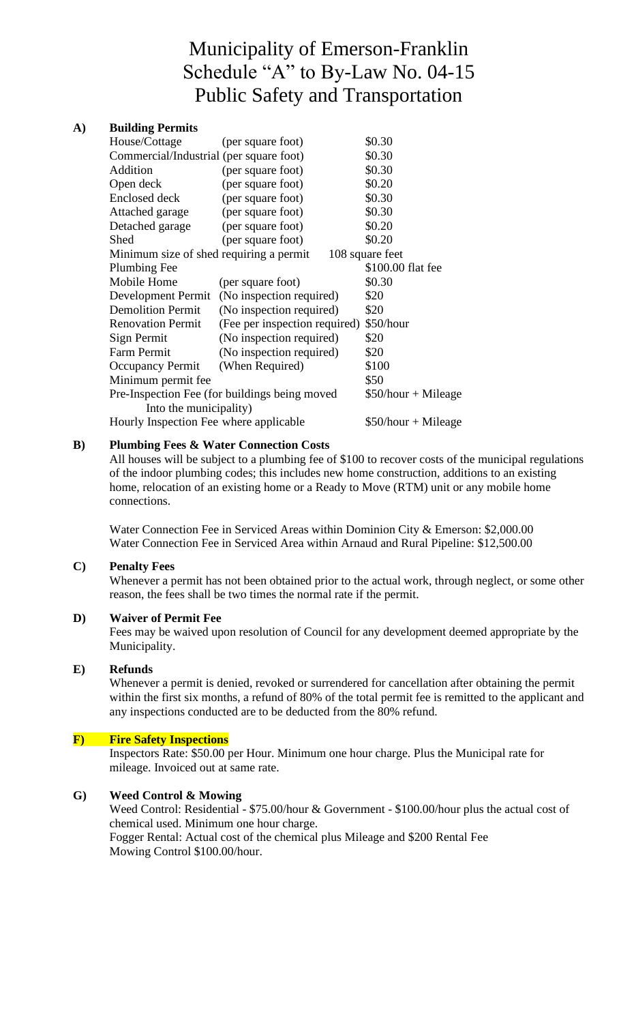# Municipality of Emerson-Franklin Schedule "A" to By-Law No. 04-15 Public Safety and Transportation

## **A) Building Permits**

| House/Cottage                                              | (per square foot)                           | \$0.30               |  |
|------------------------------------------------------------|---------------------------------------------|----------------------|--|
| Commercial/Industrial (per square foot)                    |                                             | \$0.30               |  |
| Addition                                                   | (per square foot)                           | \$0.30               |  |
| Open deck                                                  | (per square foot)                           | \$0.20               |  |
| Enclosed deck                                              | (per square foot)                           | \$0.30               |  |
| Attached garage                                            | (per square foot)                           | \$0.30               |  |
| Detached garage                                            | (per square foot)                           | \$0.20               |  |
| Shed                                                       | (per square foot)                           | \$0.20               |  |
| Minimum size of shed requiring a permit<br>108 square feet |                                             |                      |  |
| <b>Plumbing Fee</b>                                        |                                             | \$100.00 flat fee    |  |
| Mobile Home                                                | (per square foot)                           | \$0.30               |  |
|                                                            | Development Permit (No inspection required) | \$20                 |  |
| <b>Demolition Permit</b>                                   | (No inspection required)                    | \$20                 |  |
| <b>Renovation Permit</b>                                   | (Fee per inspection required)               | \$50/hour            |  |
| Sign Permit                                                | (No inspection required)                    | \$20                 |  |
| Farm Permit                                                | (No inspection required)                    | \$20                 |  |
| <b>Occupancy Permit</b>                                    | (When Required)                             | \$100                |  |
| Minimum permit fee                                         |                                             | \$50                 |  |
| Pre-Inspection Fee (for buildings being moved              |                                             | $$50/hour + Mileage$ |  |
| Into the municipality)                                     |                                             |                      |  |
| Hourly Inspection Fee where applicable                     |                                             | $$50/hour + Mileage$ |  |
|                                                            |                                             |                      |  |

# **B) Plumbing Fees & Water Connection Costs**

All houses will be subject to a plumbing fee of \$100 to recover costs of the municipal regulations of the indoor plumbing codes; this includes new home construction, additions to an existing home, relocation of an existing home or a Ready to Move (RTM) unit or any mobile home connections.

Water Connection Fee in Serviced Areas within Dominion City & Emerson: \$2,000.00 Water Connection Fee in Serviced Area within Arnaud and Rural Pipeline: \$12,500.00

## **C) Penalty Fees**

Whenever a permit has not been obtained prior to the actual work, through neglect, or some other reason, the fees shall be two times the normal rate if the permit.

## **D) Waiver of Permit Fee**

Fees may be waived upon resolution of Council for any development deemed appropriate by the Municipality.

#### **E) Refunds**

Whenever a permit is denied, revoked or surrendered for cancellation after obtaining the permit within the first six months, a refund of 80% of the total permit fee is remitted to the applicant and any inspections conducted are to be deducted from the 80% refund.

#### **F) Fire Safety Inspections**

Inspectors Rate: \$50.00 per Hour. Minimum one hour charge. Plus the Municipal rate for mileage. Invoiced out at same rate.

## **G) Weed Control & Mowing**

Weed Control: Residential - \$75.00/hour & Government - \$100.00/hour plus the actual cost of chemical used. Minimum one hour charge. Fogger Rental: Actual cost of the chemical plus Mileage and \$200 Rental Fee Mowing Control \$100.00/hour.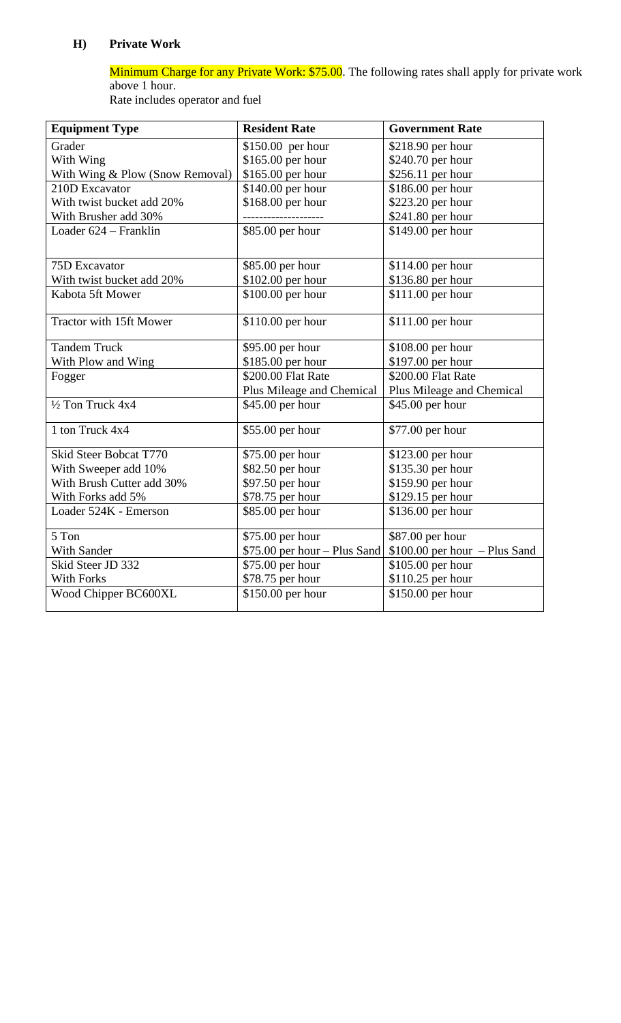# **H) Private Work**

Minimum Charge for any Private Work: \$75.00. The following rates shall apply for private work above 1 hour.

Rate includes operator and fuel

| <b>Equipment Type</b>           | <b>Resident Rate</b>          | <b>Government Rate</b>         |
|---------------------------------|-------------------------------|--------------------------------|
| Grader                          | \$150.00 per hour             | \$218.90 per hour              |
| With Wing                       | \$165.00 per hour             | \$240.70 per hour              |
| With Wing & Plow (Snow Removal) | \$165.00 per hour             | \$256.11 per hour              |
| 210D Excavator                  | \$140.00 per hour             | \$186.00 per hour              |
| With twist bucket add 20%       | \$168.00 per hour             | \$223.20 per hour              |
| With Brusher add 30%            |                               | \$241.80 per hour              |
| Loader 624 – Franklin           | \$85.00 per hour              | \$149.00 per hour              |
|                                 |                               |                                |
| 75D Excavator                   | \$85.00 per hour              | \$114.00 per hour              |
| With twist bucket add 20%       | \$102.00 per hour             | \$136.80 per hour              |
| Kabota 5ft Mower                | \$100.00 per hour             | \$111.00 per hour              |
|                                 |                               |                                |
| Tractor with 15ft Mower         | \$110.00 per hour             | \$111.00 per hour              |
| <b>Tandem Truck</b>             | \$95.00 per hour              | \$108.00 per hour              |
| With Plow and Wing              | \$185.00 per hour             | \$197.00 per hour              |
| Fogger                          | \$200.00 Flat Rate            | \$200.00 Flat Rate             |
|                                 | Plus Mileage and Chemical     | Plus Mileage and Chemical      |
| 1/2 Ton Truck 4x4               | \$45.00 per hour              | \$45.00 per hour               |
| 1 ton Truck 4x4                 | \$55.00 per hour              | \$77.00 per hour               |
| Skid Steer Bobcat T770          | \$75.00 per hour              | \$123.00 per hour              |
| With Sweeper add 10%            | \$82.50 per hour              | \$135.30 per hour              |
| With Brush Cutter add 30%       | \$97.50 per hour              | \$159.90 per hour              |
| With Forks add 5%               | \$78.75 per hour              | \$129.15 per hour              |
| Loader 524K - Emerson           | \$85.00 per hour              | \$136.00 per hour              |
|                                 |                               |                                |
| 5 Ton                           | \$75.00 per hour              | \$87.00 per hour               |
| With Sander                     | $$75.00$ per hour - Plus Sand | $$100.00$ per hour - Plus Sand |
| Skid Steer JD 332               | \$75.00 per hour              | \$105.00 per hour              |
| <b>With Forks</b>               | \$78.75 per hour              | \$110.25 per hour              |
| Wood Chipper BC600XL            | \$150.00 per hour             | \$150.00 per hour              |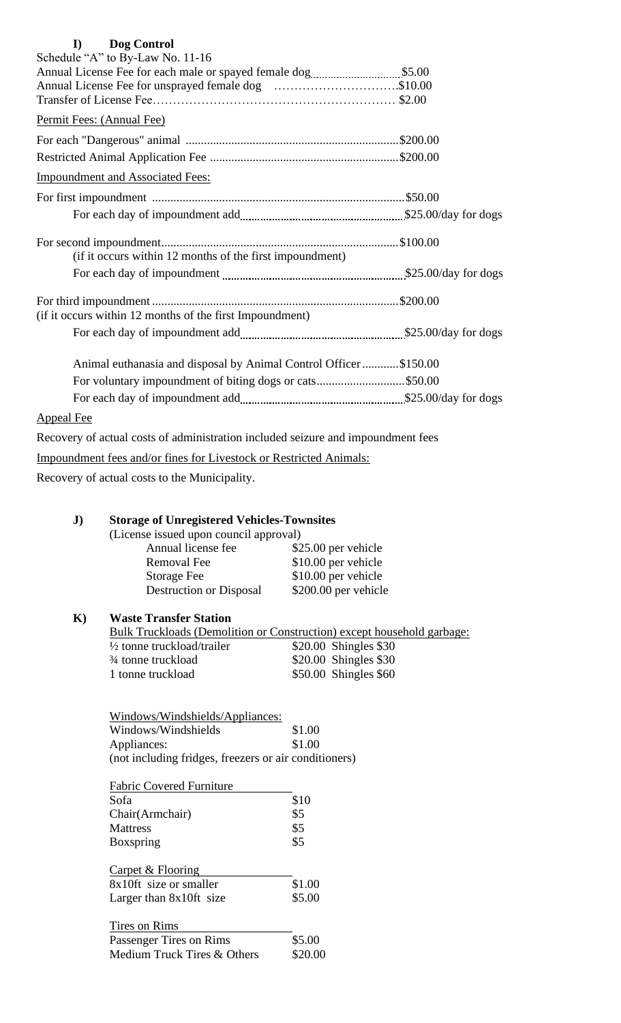| Dog Control<br>$\bf{I}$                                                          |  |
|----------------------------------------------------------------------------------|--|
| Schedule "A" to By-Law No. 11-16                                                 |  |
|                                                                                  |  |
| Annual License Fee for unsprayed female dog \$10.00                              |  |
|                                                                                  |  |
| Permit Fees: (Annual Fee)                                                        |  |
|                                                                                  |  |
|                                                                                  |  |
| <b>Impoundment and Associated Fees:</b>                                          |  |
|                                                                                  |  |
|                                                                                  |  |
|                                                                                  |  |
| (if it occurs within 12 months of the first impoundment)                         |  |
|                                                                                  |  |
|                                                                                  |  |
| (if it occurs within 12 months of the first Impoundment)                         |  |
|                                                                                  |  |
| Animal euthanasia and disposal by Animal Control Officer\$150.00                 |  |
| For voluntary impoundment of biting dogs or cats\$50.00                          |  |
|                                                                                  |  |
| <b>Appeal Fee</b>                                                                |  |
| Recovery of actual costs of administration included seizure and impoundment fees |  |
| Impoundment fees and/or fines for Livestock or Restricted Animals:               |  |
| Recovery of actual costs to the Municipality.                                    |  |
|                                                                                  |  |

# **J) Storage of Unregistered Vehicles-Townsites**

(License issued upon council approval)

| Annual license fee             | \$25.00 per vehicle  |
|--------------------------------|----------------------|
| <b>Removal Fee</b>             | \$10.00 per vehicle  |
| <b>Storage Fee</b>             | \$10.00 per vehicle  |
| <b>Destruction or Disposal</b> | \$200.00 per vehicle |
|                                |                      |

# **K) Waste Transfer Station**

|                                             | Bulk Truckloads (Demolition or Construction) except household garbage: |
|---------------------------------------------|------------------------------------------------------------------------|
| $\frac{1}{2}$ tonne truckload/trailer       | \$20.00 Shingles \$30                                                  |
| <sup>3</sup> / <sub>4</sub> tonne truckload | \$20.00 Shingles \$30                                                  |
| 1 tonne truckload                           | $$50.00$ Shingles $$60$                                                |

| Windows/Windshields/Appliances:                       |        |
|-------------------------------------------------------|--------|
| Windows/Windshields                                   | \$1.00 |
| Appliances:                                           | \$1.00 |
| (not including fridges, freezers or air conditioners) |        |
| <b>Fabric Covered Furniture</b>                       |        |
| Sofa                                                  | \$10   |
| Chair(Armchair)                                       | \$5    |
| <b>Mattress</b>                                       | \$5    |
| <b>Boxspring</b>                                      | \$5    |
| Carpet & Flooring                                     |        |
| 8x10ft size or smaller                                | \$1.00 |
| Larger than $8x10$ ft size                            | \$5.00 |

| Tires on Rims               |         |
|-----------------------------|---------|
| Passenger Tires on Rims     | \$5.00  |
| Medium Truck Tires & Others | \$20.00 |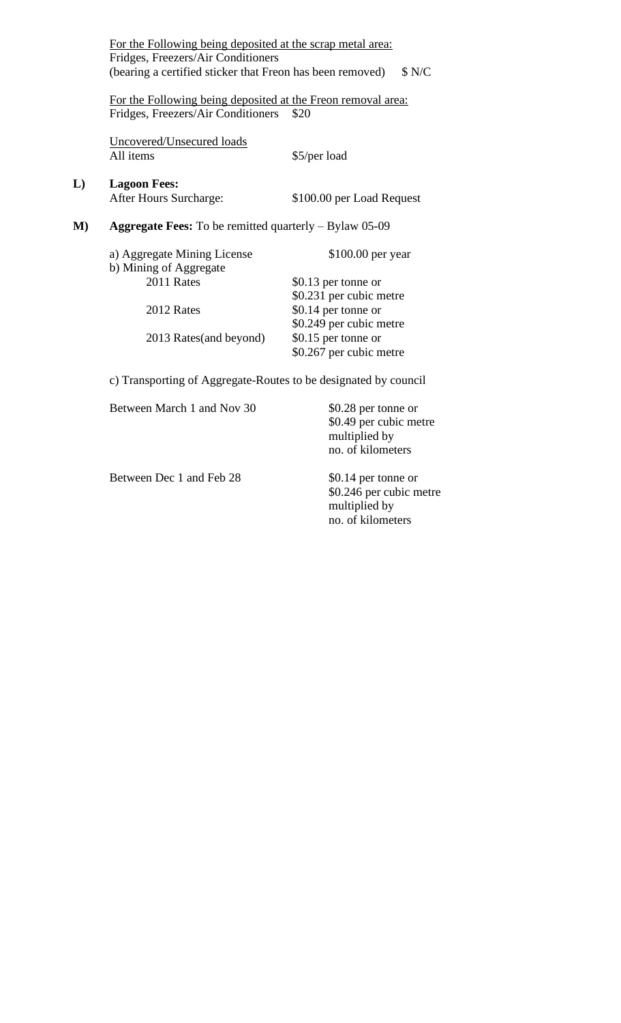|    | For the Following being deposited at the scrap metal area:                                         |                                                |
|----|----------------------------------------------------------------------------------------------------|------------------------------------------------|
|    | Fridges, Freezers/Air Conditioners                                                                 |                                                |
|    | (bearing a certified sticker that Freon has been removed)                                          | \$ N/C                                         |
|    | For the Following being deposited at the Freon removal area:<br>Fridges, Freezers/Air Conditioners | \$20                                           |
|    | Uncovered/Unsecured loads<br>All items                                                             | \$5/per load                                   |
| L) | <b>Lagoon Fees:</b><br>After Hours Surcharge:                                                      | \$100.00 per Load Request                      |
| M) | <b>Aggregate Fees:</b> To be remitted quarterly $-$ Bylaw 05-09                                    |                                                |
|    | a) Aggregate Mining License<br>b) Mining of Aggregate                                              | $$100.00$ per year                             |
|    | 2011 Rates                                                                                         | \$0.13 per tonne or<br>\$0.231 per cubic metre |
|    | 2012 Rates                                                                                         | \$0.14 per tonne or<br>\$0.249 per cubic metre |
|    | 2013 Rates (and beyond)                                                                            | \$0.15 per tonne or<br>\$0.267 per cubic metre |
|    |                                                                                                    |                                                |

c) Transporting of Aggregate-Routes to be designated by council

| Between March 1 and Nov 30 | \$0.28 per tonne or<br>\$0.49 per cubic metre<br>multiplied by<br>no. of kilometers  |
|----------------------------|--------------------------------------------------------------------------------------|
| Between Dec 1 and Feb 28   | \$0.14 per tonne or<br>\$0.246 per cubic metre<br>multiplied by<br>no. of kilometers |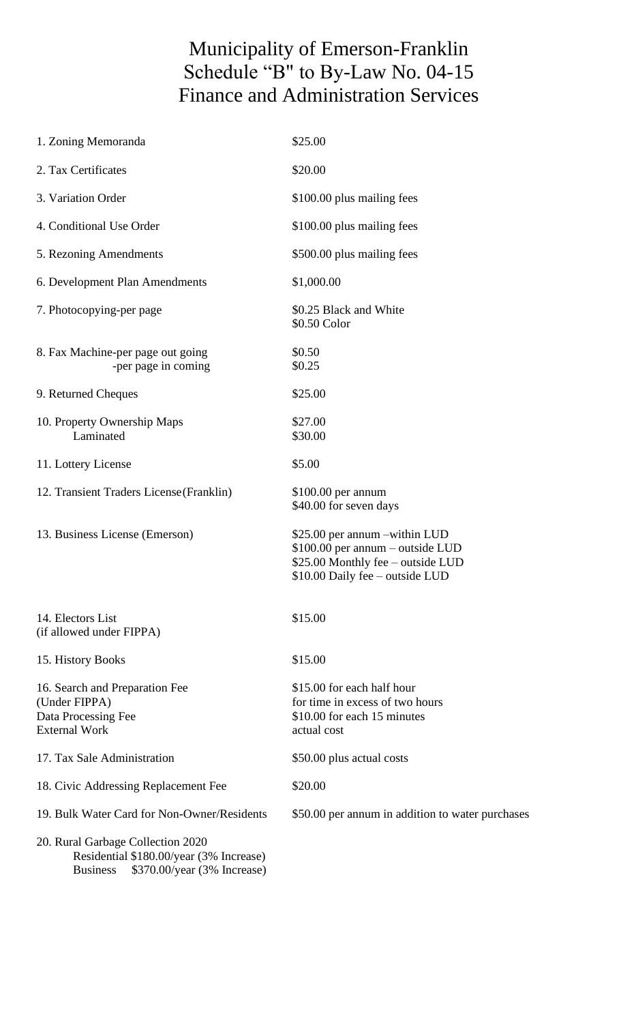# Municipality of Emerson-Franklin Schedule "B" to By-Law No. 04-15 Finance and Administration Services

| 1. Zoning Memoranda                                                                                                            | \$25.00                                                                                                                                   |
|--------------------------------------------------------------------------------------------------------------------------------|-------------------------------------------------------------------------------------------------------------------------------------------|
| 2. Tax Certificates                                                                                                            | \$20.00                                                                                                                                   |
| 3. Variation Order                                                                                                             | \$100.00 plus mailing fees                                                                                                                |
| 4. Conditional Use Order                                                                                                       | \$100.00 plus mailing fees                                                                                                                |
| 5. Rezoning Amendments                                                                                                         | \$500.00 plus mailing fees                                                                                                                |
| 6. Development Plan Amendments                                                                                                 | \$1,000.00                                                                                                                                |
| 7. Photocopying-per page                                                                                                       | \$0.25 Black and White<br>\$0.50 Color                                                                                                    |
| 8. Fax Machine-per page out going<br>-per page in coming                                                                       | \$0.50<br>\$0.25                                                                                                                          |
| 9. Returned Cheques                                                                                                            | \$25.00                                                                                                                                   |
| 10. Property Ownership Maps<br>Laminated                                                                                       | \$27.00<br>\$30.00                                                                                                                        |
| 11. Lottery License                                                                                                            | \$5.00                                                                                                                                    |
| 12. Transient Traders License (Franklin)                                                                                       | $$100.00$ per annum<br>\$40.00 for seven days                                                                                             |
| 13. Business License (Emerson)                                                                                                 | \$25.00 per annum -within LUD<br>\$100.00 per annum – outside LUD<br>\$25.00 Monthly fee - outside LUD<br>\$10.00 Daily fee - outside LUD |
| 14. Electors List<br>(if allowed under FIPPA)                                                                                  | \$15.00                                                                                                                                   |
| 15. History Books                                                                                                              | \$15.00                                                                                                                                   |
| 16. Search and Preparation Fee<br>(Under FIPPA)<br>Data Processing Fee<br><b>External Work</b>                                 | \$15.00 for each half hour<br>for time in excess of two hours<br>\$10.00 for each 15 minutes<br>actual cost                               |
| 17. Tax Sale Administration                                                                                                    | \$50.00 plus actual costs                                                                                                                 |
| 18. Civic Addressing Replacement Fee                                                                                           | \$20.00                                                                                                                                   |
| 19. Bulk Water Card for Non-Owner/Residents                                                                                    | \$50.00 per annum in addition to water purchases                                                                                          |
| 20. Rural Garbage Collection 2020<br>Residential \$180.00/year (3% Increase)<br>\$370.00/year (3% Increase)<br><b>Business</b> |                                                                                                                                           |